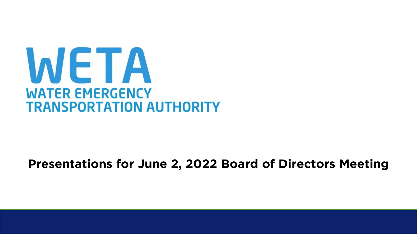

#### **Presentations for June 2, 2022 Board of Directors Meeting**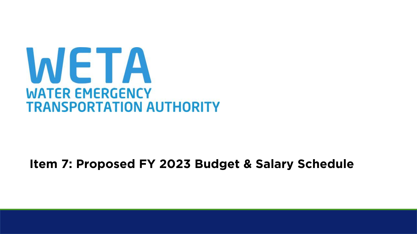

#### **Item 7: Proposed FY 2023 Budget & Salary Schedule**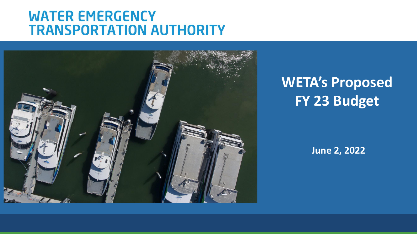

**WETA's Proposed FY 23 Budget**

**June 2, 2022**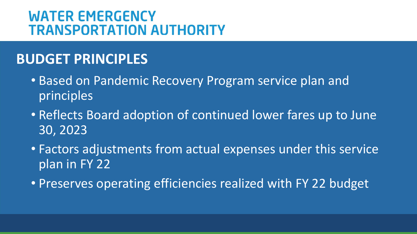## **BUDGET PRINCIPLES**

- Based on Pandemic Recovery Program service plan and principles
- Reflects Board adoption of continued lower fares up to June 30, 2023
- Factors adjustments from actual expenses under this service plan in FY 22
- Preserves operating efficiencies realized with FY 22 budget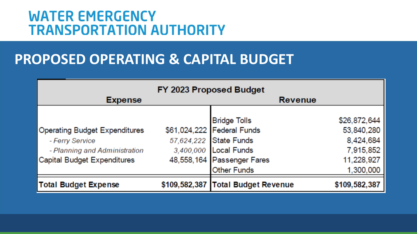## **PROPOSED OPERATING & CAPITAL BUDGET**

| FY 2023 Proposed Budget                                                                                                 |  |                                                                                                                                                          |                                                                                 |
|-------------------------------------------------------------------------------------------------------------------------|--|----------------------------------------------------------------------------------------------------------------------------------------------------------|---------------------------------------------------------------------------------|
| <b>Expense</b>                                                                                                          |  | <b>Revenue</b>                                                                                                                                           |                                                                                 |
| <b>Operating Budget Expenditures</b><br>- Ferry Service<br>- Planning and Administration<br>Capital Budget Expenditures |  | <b>Bridge Tolls</b><br>\$61,024,222 Federal Funds<br>57,624,222 State Funds<br>3,400,000 Local Funds<br>48,558,164 Passenger Fares<br><b>Other Funds</b> | \$26,872,644<br>53,840,280<br>8,424,684<br>7,915,852<br>11,228,927<br>1,300,000 |
| <b>Total Budget Expense</b>                                                                                             |  | \$109,582,387 Total Budget Revenue                                                                                                                       | \$109,582,387                                                                   |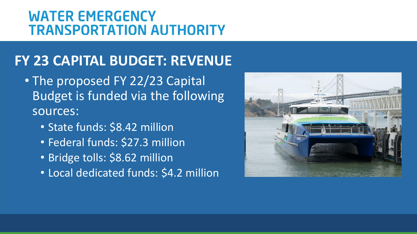# **FY 23 CAPITAL BUDGET: REVENUE**

- The proposed FY 22/23 Capital Budget is funded via the following sources:
	- State funds: \$8.42 million
	- Federal funds: \$27.3 million
	- Bridge tolls: \$8.62 million
	- Local dedicated funds: \$4.2 million

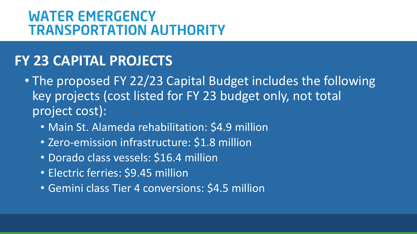## **FY 23 CAPITAL PROJECTS**

• The proposed FY 22/23 Capital Budget includes the following key projects (cost listed for FY 23 budget only, not total project cost):

- Main St. Alameda rehabilitation: \$4.9 million
- Zero-emission infrastructure: \$1.8 million
- Dorado class vessels: \$16.4 million
- Electric ferries: \$9.45 million
- Gemini class Tier 4 conversions: \$4.5 million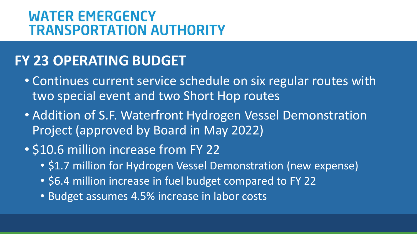## **FY 23 OPERATING BUDGET**

- Continues current service schedule on six regular routes with two special event and two Short Hop routes
- Addition of S.F. Waterfront Hydrogen Vessel Demonstration Project (approved by Board in May 2022)
- \$10.6 million increase from FY 22
	- \$1.7 million for Hydrogen Vessel Demonstration (new expense)
	- \$6.4 million increase in fuel budget compared to FY 22
	- Budget assumes 4.5% increase in labor costs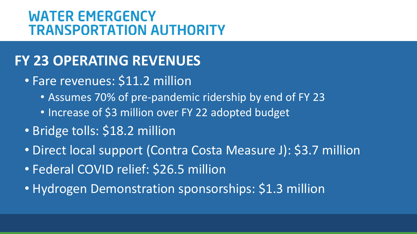## **FY 23 OPERATING REVENUES**

- Fare revenues: \$11.2 million
	- Assumes 70% of pre-pandemic ridership by end of FY 23
	- Increase of \$3 million over FY 22 adopted budget
- Bridge tolls: \$18.2 million
- Direct local support (Contra Costa Measure J): \$3.7 million
- Federal COVID relief: \$26.5 million
- Hydrogen Demonstration sponsorships: \$1.3 million